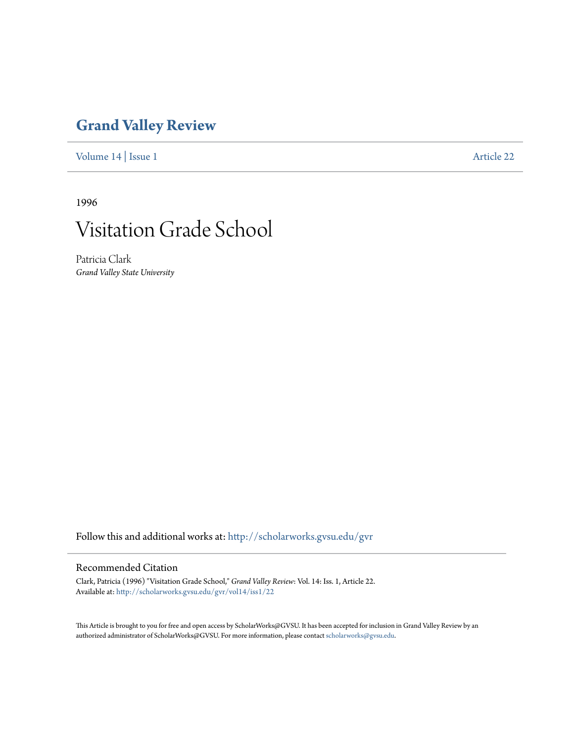## **[Grand Valley Review](http://scholarworks.gvsu.edu/gvr?utm_source=scholarworks.gvsu.edu%2Fgvr%2Fvol14%2Fiss1%2F22&utm_medium=PDF&utm_campaign=PDFCoverPages)**

[Volume 14](http://scholarworks.gvsu.edu/gvr/vol14?utm_source=scholarworks.gvsu.edu%2Fgvr%2Fvol14%2Fiss1%2F22&utm_medium=PDF&utm_campaign=PDFCoverPages) | [Issue 1](http://scholarworks.gvsu.edu/gvr/vol14/iss1?utm_source=scholarworks.gvsu.edu%2Fgvr%2Fvol14%2Fiss1%2F22&utm_medium=PDF&utm_campaign=PDFCoverPages) [Article 22](http://scholarworks.gvsu.edu/gvr/vol14/iss1/22?utm_source=scholarworks.gvsu.edu%2Fgvr%2Fvol14%2Fiss1%2F22&utm_medium=PDF&utm_campaign=PDFCoverPages)

1996



Patricia Clark *Grand Valley State University*

Follow this and additional works at: [http://scholarworks.gvsu.edu/gvr](http://scholarworks.gvsu.edu/gvr?utm_source=scholarworks.gvsu.edu%2Fgvr%2Fvol14%2Fiss1%2F22&utm_medium=PDF&utm_campaign=PDFCoverPages)

## Recommended Citation

Clark, Patricia (1996) "Visitation Grade School," *Grand Valley Review*: Vol. 14: Iss. 1, Article 22. Available at: [http://scholarworks.gvsu.edu/gvr/vol14/iss1/22](http://scholarworks.gvsu.edu/gvr/vol14/iss1/22?utm_source=scholarworks.gvsu.edu%2Fgvr%2Fvol14%2Fiss1%2F22&utm_medium=PDF&utm_campaign=PDFCoverPages)

This Article is brought to you for free and open access by ScholarWorks@GVSU. It has been accepted for inclusion in Grand Valley Review by an authorized administrator of ScholarWorks@GVSU. For more information, please contact [scholarworks@gvsu.edu.](mailto:scholarworks@gvsu.edu)